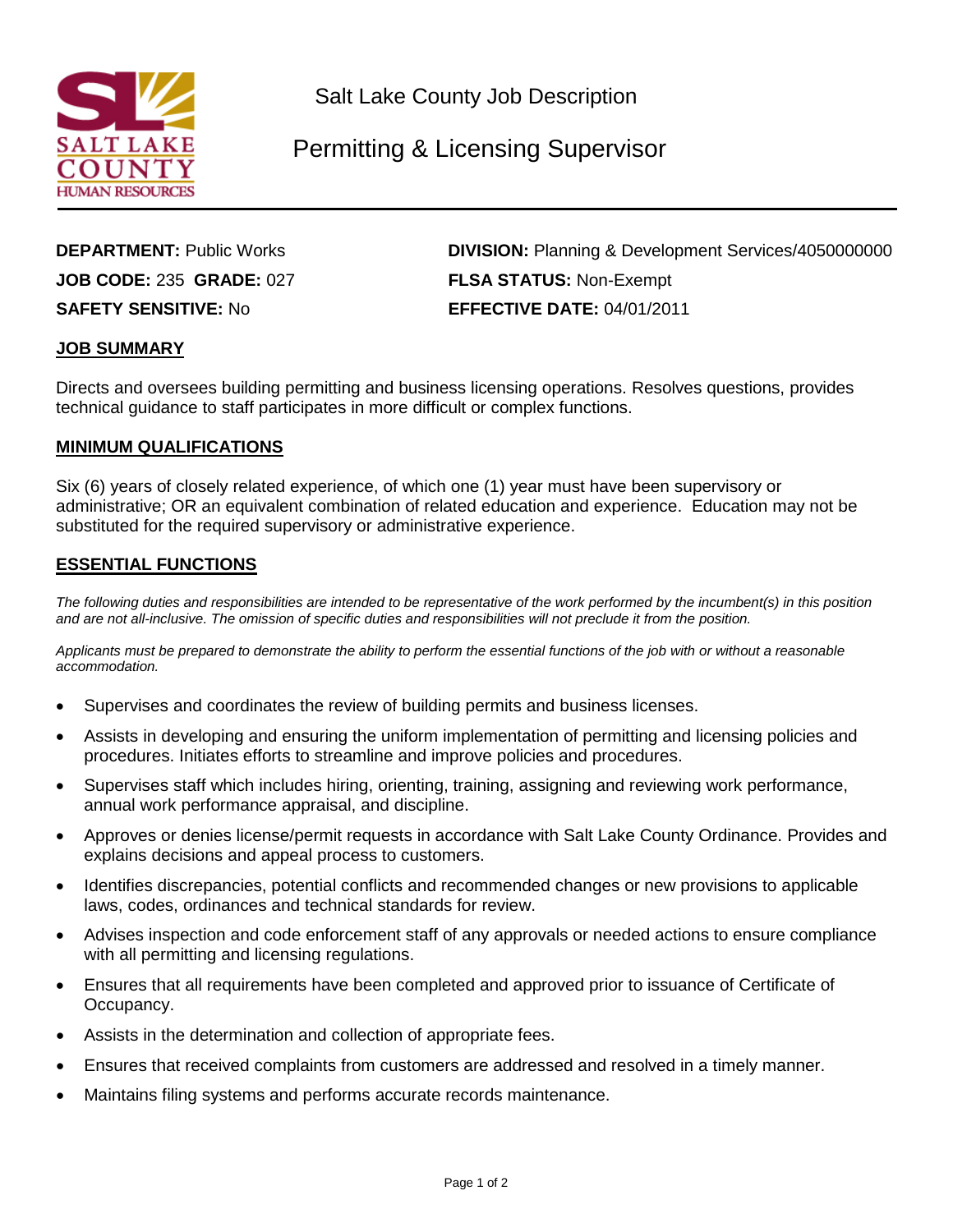

Salt Lake County Job Description

# Permitting & Licensing Supervisor

**JOB CODE:** 235 **GRADE:** 027 **FLSA STATUS:** Non-Exempt

**DEPARTMENT:** Public Works **DIVISION:** Planning & Development Services/4050000000 **SAFETY SENSITIVE:** No **EFFECTIVE DATE:** 04/01/2011

#### **JOB SUMMARY**

Directs and oversees building permitting and business licensing operations. Resolves questions, provides technical guidance to staff participates in more difficult or complex functions.

#### **MINIMUM QUALIFICATIONS**

Six (6) years of closely related experience, of which one (1) year must have been supervisory or administrative; OR an equivalent combination of related education and experience. Education may not be substituted for the required supervisory or administrative experience.

### **ESSENTIAL FUNCTIONS**

*The following duties and responsibilities are intended to be representative of the work performed by the incumbent(s) in this position and are not all-inclusive. The omission of specific duties and responsibilities will not preclude it from the position.*

*Applicants must be prepared to demonstrate the ability to perform the essential functions of the job with or without a reasonable accommodation.*

- Supervises and coordinates the review of building permits and business licenses.
- Assists in developing and ensuring the uniform implementation of permitting and licensing policies and procedures. Initiates efforts to streamline and improve policies and procedures.
- Supervises staff which includes hiring, orienting, training, assigning and reviewing work performance, annual work performance appraisal, and discipline.
- Approves or denies license/permit requests in accordance with Salt Lake County Ordinance. Provides and explains decisions and appeal process to customers.
- Identifies discrepancies, potential conflicts and recommended changes or new provisions to applicable laws, codes, ordinances and technical standards for review.
- Advises inspection and code enforcement staff of any approvals or needed actions to ensure compliance with all permitting and licensing regulations.
- Ensures that all requirements have been completed and approved prior to issuance of Certificate of Occupancy.
- Assists in the determination and collection of appropriate fees.
- Ensures that received complaints from customers are addressed and resolved in a timely manner.
- Maintains filing systems and performs accurate records maintenance.